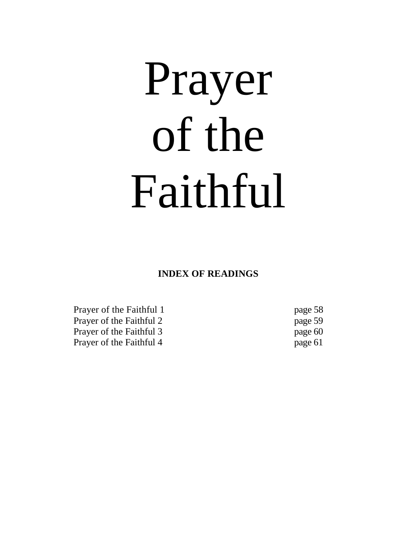# Prayer of the Faithful

**INDEX OF READINGS**

Prayer of the Faithful 1 page 58 Prayer of the Faithful 2 page 59 Prayer of the Faithful 3 page 60 Prayer of the Faithful 4 page 61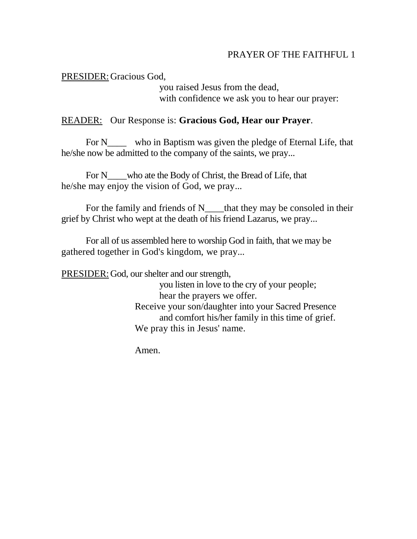## PRAYER OF THE FAITHFUL 1

## PRESIDER: Gracious God,

you raised Jesus from the dead, with confidence we ask you to hear our prayer:

#### READER: Our Response is: **Gracious God, Hear our Prayer**.

For N<sub>ndo</sub> who in Baptism was given the pledge of Eternal Life, that he/she now be admitted to the company of the saints, we pray...

For N\_\_\_\_who ate the Body of Christ, the Bread of Life, that he/she may enjoy the vision of God, we pray...

For the family and friends of N\_\_\_\_that they may be consoled in their grief by Christ who wept at the death of his friend Lazarus, we pray...

For all of us assembled here to worship God in faith, that we may be gathered together in God's kingdom, we pray...

PRESIDER: God, our shelter and our strength,

you listen in love to the cry of your people; hear the prayers we offer. Receive your son/daughter into your Sacred Presence and comfort his/her family in this time of grief. We pray this in Jesus' name.

Amen.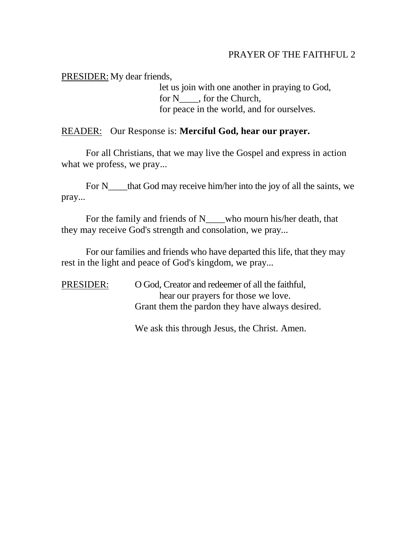## PRAYER OF THE FAITHFUL 2

PRESIDER: My dear friends,

let us join with one another in praying to God, for N<sub>j</sub>, for the Church, for peace in the world, and for ourselves.

#### READER: Our Response is: **Merciful God, hear our prayer.**

For all Christians, that we may live the Gospel and express in action what we profess, we pray...

For N\_\_\_\_that God may receive him/her into the joy of all the saints, we pray...

For the family and friends of N\_\_\_\_who mourn his/her death, that they may receive God's strength and consolation, we pray...

For our families and friends who have departed this life, that they may rest in the light and peace of God's kingdom, we pray...

PRESIDER: O God, Creator and redeemer of all the faithful, hear our prayers for those we love. Grant them the pardon they have always desired.

We ask this through Jesus, the Christ. Amen.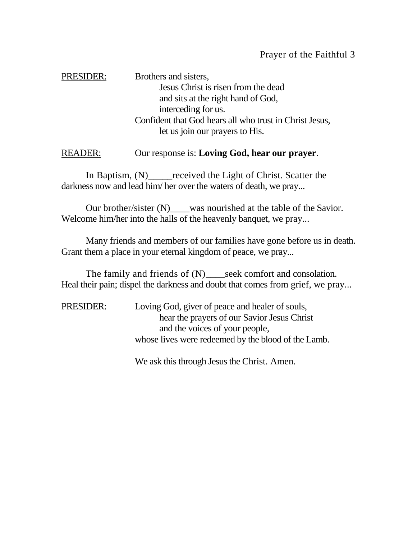PRESIDER: Brothers and sisters, Jesus Christ is risen from the dead and sits at the right hand of God, interceding for us. Confident that God hears all who trust in Christ Jesus, let us join our prayers to His.

## READER: Our response is: **Loving God, hear our prayer**.

In Baptism, (N) \_\_\_\_\_\_received the Light of Christ. Scatter the darkness now and lead him/ her over the waters of death, we pray...

Our brother/sister (N)\_\_\_was nourished at the table of the Savior. Welcome him/her into the halls of the heavenly banquet, we pray...

Many friends and members of our families have gone before us in death. Grant them a place in your eternal kingdom of peace, we pray...

The family and friends of (N) seek comfort and consolation. Heal their pain; dispel the darkness and doubt that comes from grief, we pray...

PRESIDER: Loving God, giver of peace and healer of souls, hear the prayers of our Savior Jesus Christ and the voices of your people, whose lives were redeemed by the blood of the Lamb.

We ask this through Jesus the Christ. Amen.